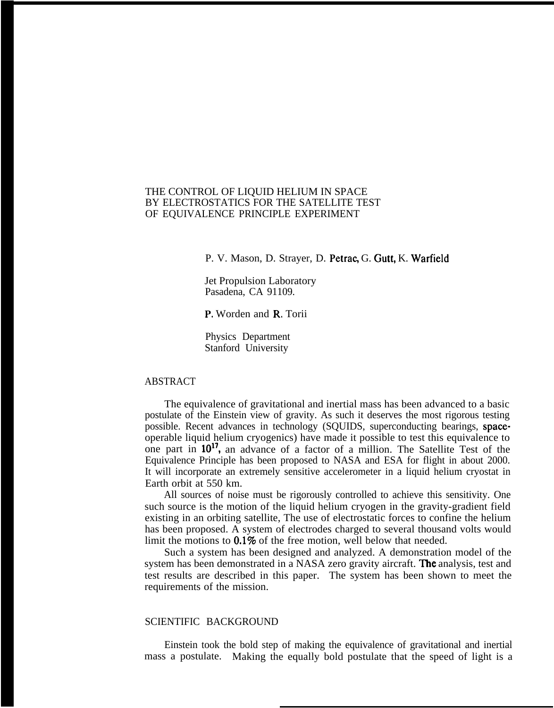# THE CONTROL OF LIQUID HELIUM IN SPACE BY ELECTROSTATICS FOR THE SATELLITE TEST OF EQUIVALENCE PRINCIPLE EXPERIMENT

P. V. Mason, D. Strayer, D. Petrac, G. Gutt, K. Warfield

Jet Propulsion Laboratory Pasadena, CA 91109.

P, Worden and R. Torii

Physics Department Stanford University

# ABSTRACT

The equivalence of gravitational and inertial mass has been advanced to a basic postulate of the Einstein view of gravity. As such it deserves the most rigorous testing possible. Recent advances in technology (SQUIDS, superconducting bearings, spaceoperable liquid helium cryogenics) have made it possible to test this equivalence to one part in 10<sup>17</sup>, an advance of a factor of a million. The Satellite Test of the Equivalence Principle has been proposed to NASA and ESA for flight in about 2000. It will incorporate an extremely sensitive accelerometer in a liquid helium cryostat in Earth orbit at 550 km.

All sources of noise must be rigorously controlled to achieve this sensitivity. One such source is the motion of the liquid helium cryogen in the gravity-gradient field existing in an orbiting satellite, The use of electrostatic forces to confine the helium has been proposed. A system of electrodes charged to several thousand volts would limit the motions to  $0.1\%$  of the free motion, well below that needed.

Such a system has been designed and analyzed. A demonstration model of the system has been demonstrated in a NASA zero gravity aircraft. The analysis, test and test results are described in this paper. The system has been shown to meet the requirements of the mission.

### SCIENTIFIC BACKGROUND

Einstein took the bold step of making the equivalence of gravitational and inertial mass a postulate. Making the equally bold postulate that the speed of light is a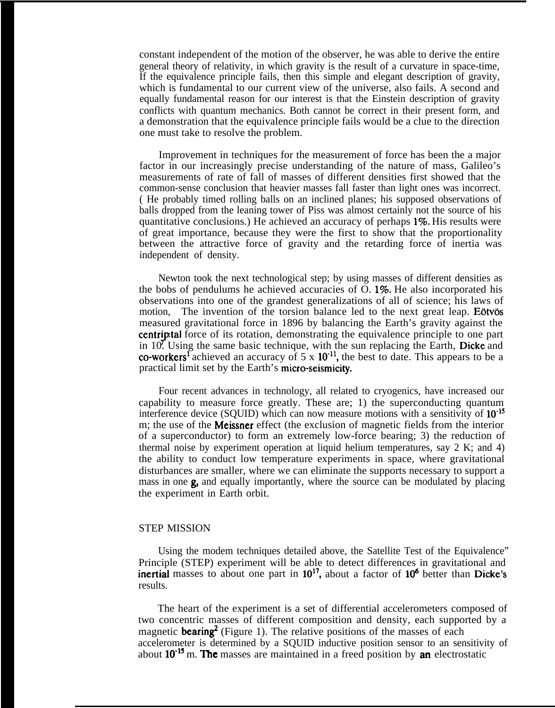constant independent of the motion of the observer, he was able to derive the entire general theory of relativity, in which gravity is the result of a curvature in space-time, If the equivalence principle fails, then this simple and elegant description of gravity, which is fundamental to our current view of the universe, also fails. A second and equally fundamental reason for our interest is that the Einstein description of gravity conflicts with quantum mechanics. Both cannot be correct in their present form, and a demonstration that the equivalence principle fails would be a clue to the direction one must take to resolve the problem.

Improvement in techniques for the measurement of force has been the a major factor in our increasingly precise understanding of the nature of mass, Galileo's measurements of rate of fall of masses of different densities first showed that the common-sense conclusion that heavier masses fall faster than light ones was incorrect. ( He probably timed rolling balls on an inclined planes; his supposed observations of balls dropped from the leaning tower of Piss was almost certainly not the source of his quantitative conclusions.) He achieved an accuracy of perhaps 1%. His results were of great importance, because they were the first to show that the proportionality between the attractive force of gravity and the retarding force of inertia was independent of density.

Newton took the next technological step; by using masses of different densities as the bobs of pendulums he achieved accuracies of  $O$ . 1%. He also incorporated his observations into one of the grandest generalizations of all of science; his laws of motion, The invention of the torsion balance led to the next great leap. Eotvos measured gravitational force in 1896 by balancing the Earth's gravity against the centriptal force of its rotation, demonstrating the equivalence principle to one part in 10. Using the same basic technique, with the sun replacing the Earth, Dicke and co-workers<sup>1</sup> achieved an accuracy of  $5 \times 10^{-11}$ , the best to date. This appears to be a practical limit set by the Earth's micro-seismicity.

Four recent advances in technology, all related to cryogenics, have increased our capability to measure force greatly. These are; 1) the superconducting quantum interference device (SQUID) which can now measure motions with a sensitivity of  $10^{-15}$ m; the use of the **Meissner** effect (the exclusion of magnetic fields from the interior of a superconductor) to form an extremely low-force bearing; 3) the reduction of thermal noise by experiment operation at liquid helium temperatures, say 2 K; and 4) the ability to conduct low temperature experiments in space, where gravitational disturbances are smaller, where we can eliminate the supports necessary to support a mass in one  $\mathbf{g}$ , and equally importantly, where the source can be modulated by placing the experiment in Earth orbit.

## STEP MISSION

Using the modem techniques detailed above, the Satellite Test of the Equivalence" Principle (STEP) experiment will be able to detect differences in gravitational and inertial masses to about one part in  $10^{17}$ , about a factor of  $10^6$  better than Dicke's results.

The heart of the experiment is a set of differential accelerometers composed of two concentric masses of different composition and density, each supported by a magnetic **bearing**<sup>2</sup> (Figure 1). The relative positions of the masses of each accelerometer is determined by a SQUID inductive position sensor to an sensitivity of about  $10^{-15}$  m. The masses are maintained in a freed position by an electrostatic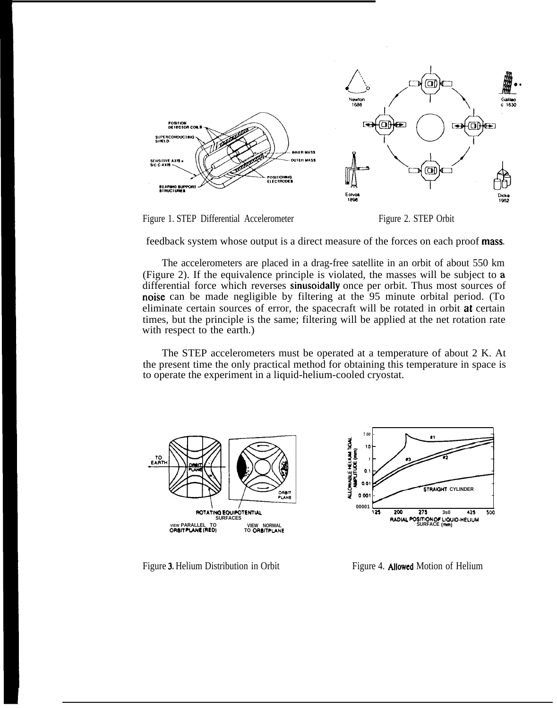

Figure 1. STEP Differential Accelerometer Figure 2. STEP Orbit

feedback system whose output is a direct measure of the forces on each proof mass

The accelerometers are placed in a drag-free satellite in an orbit of about 550 km (Figure 2). If the equivalence principle is violated, the masses will be subject to a differential force which reverses sinusoidally once per orbit. Thus most sources of noise can be made negligible by filtering at the 95 minute orbital period. (To eliminate certain sources of error, the spacecraft will be rotated in orbit at certain times, but the principle is the same; filtering will be applied at the net rotation rate with respect to the earth.)

The STEP accelerometers must be operated at a temperature of about 2 K. At the present time the only practical method for obtaining this temperature in space is to operate the experiment in a liquid-helium-cooled cryostat.





Figure 3. Helium Distribution in Orbit Figure 4. Allowed Motion of Helium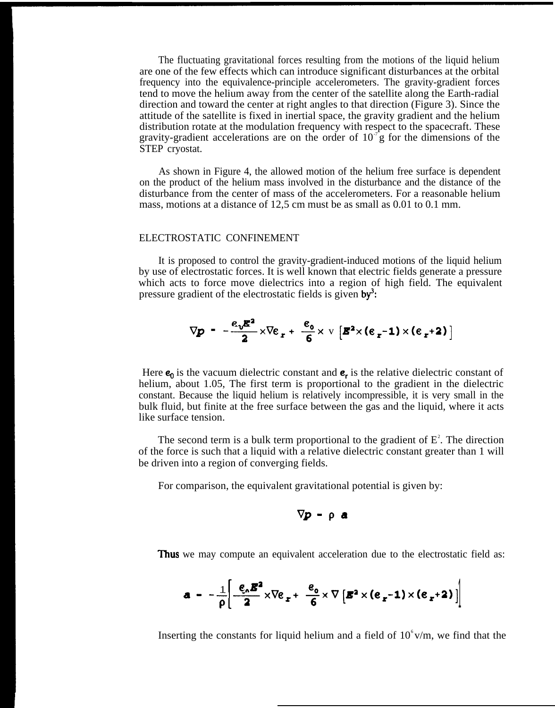The fluctuating gravitational forces resulting from the motions of the liquid helium are one of the few effects which can introduce significant disturbances at the orbital frequency into the equivalence-principle accelerometers. The gravity-gradient forces tend to move the helium away from the center of the satellite along the Earth-radial direction and toward the center at right angles to that direction (Figure 3). Since the attitude of the satellite is fixed in inertial space, the gravity gradient and the helium distribution rotate at the modulation frequency with respect to the spacecraft. These gravity-gradient accelerations are on the order of  $10<sup>-7</sup>$  g for the dimensions of the STEP cryostat.

As shown in Figure 4, the allowed motion of the helium free surface is dependent on the product of the helium mass involved in the disturbance and the distance of the disturbance from the center of mass of the accelerometers. For a reasonable helium mass, motions at a distance of 12,5 cm must be as small as 0.01 to 0.1 mm.

### ELECTROSTATIC CONFINEMENT

It is proposed to control the gravity-gradient-induced motions of the liquid helium by use of electrostatic forces. It is well known that electric fields generate a pressure which acts to force move dielectrics into a region of high field. The equivalent pressure gradient of the electrostatic fields is given  $by^3$ :

$$
\nabla p - \frac{\epsilon_v \mathbf{E}^2}{2} \times \nabla \epsilon_r + \frac{\epsilon_o}{6} \times \nabla \left[ \mathbf{E}^2 \times (\epsilon_r - 1) \times (\epsilon_r + 2) \right]
$$

Here  $\mathbf{e}_0$  is the vacuum dielectric constant and  $\mathbf{e}_r$  is the relative dielectric constant of helium, about 1.05, The first term is proportional to the gradient in the dielectric constant. Because the liquid helium is relatively incompressible, it is very small in the bulk fluid, but finite at the free surface between the gas and the liquid, where it acts like surface tension.

The second term is a bulk term proportional to the gradient of  $E^2$ . The direction of the force is such that a liquid with a relative dielectric constant greater than 1 will be driven into a region of converging fields.

For comparison, the equivalent gravitational potential is given by:

$$
\nabla p - \rho \mathbf{a}
$$

**Thus** we may compute an equivalent acceleration due to the electrostatic field as:

$$
\mathbf{a} = -\frac{1}{\rho} \left[ \frac{\mathbf{e}_{\rho} \mathbf{B}^2}{2} \times \nabla \mathbf{e}_{\mathbf{r}} + \frac{\mathbf{e}_{\rho}}{6} \times \nabla \left[ \mathbf{B}^2 \times (\mathbf{e}_{\mathbf{r}} - 1) \times (\mathbf{e}_{\mathbf{r}} + 2) \right] \right]
$$

Inserting the constants for liquid helium and a field of  $10^6$  v/m, we find that the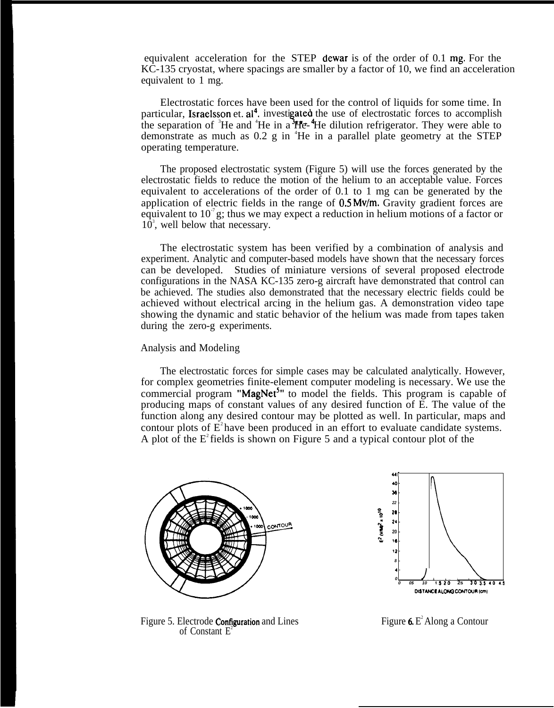equivalent acceleration for the STEP dewar is of the order of 0.1 mg. For the KC-135 cryostat, where spacings are smaller by a factor of 10, we find an acceleration equivalent to 1 mg.

Electrostatic forces have been used for the control of liquids for some time. In particular, Israelsson et. al<sup>4</sup>, investigated the use of electrostatic forces to accomplish the separation of <sup>3</sup>He and <sup>4</sup>He in a  $He$ - <sup>4</sup>He dilution refrigerator. They were able to demonstrate as much as  $0.2 \text{ g}$  in  ${}^4$ He in a parallel plate geometry at the STEP operating temperature.

The proposed electrostatic system (Figure 5) will use the forces generated by the electrostatic fields to reduce the motion of the helium to an acceptable value. Forces equivalent to accelerations of the order of 0.1 to 1 mg can be generated by the application of electric fields in the range of 0.5 Mv/m. Gravity gradient forces are equivalent to  $10^7$  g; thus we may expect a reduction in helium motions of a factor or  $10<sup>3</sup>$ , well below that necessary.

The electrostatic system has been verified by a combination of analysis and experiment. Analytic and computer-based models have shown that the necessary forces can be developed. Studies of miniature versions of several proposed electrode configurations in the NASA KC-135 zero-g aircraft have demonstrated that control can be achieved. The studies also demonstrated that the necessary electric fields could be achieved without electrical arcing in the helium gas. A demonstration video tape showing the dynamic and static behavior of the helium was made from tapes taken during the zero-g experiments.

### Analysis and Modeling

The electrostatic forces for simple cases may be calculated analytically. However, for complex geometries finite-element computer modeling is necessary. We use the commercial program "MagNet<sup>5</sup>" to model the fields. This program is capable of producing maps of constant values of any desired function of E. The value of the function along any desired contour may be plotted as well. In particular, maps and contour plots of  $E^2$  have been produced in an effort to evaluate candidate systems. A plot of the  $E^2$  fields is shown on Figure 5 and a typical contour plot of the





Figure 5. Electrode **Configuration** and Lines Figure 6. E<sup>2</sup> Along a Contour of Constant  $E^2$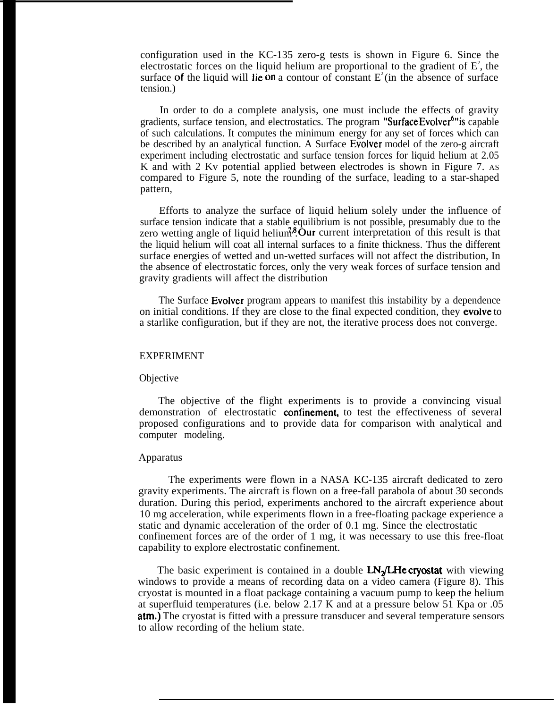configuration used in the KC-135 zero-g tests is shown in Figure 6. Since the electrostatic forces on the liquid helium are proportional to the gradient of  $E^2$ , the surface of the liquid will lie on a contour of constant  $E^2$  (in the absence of surface tension.)

In order to do a complete analysis, one must include the effects of gravity gradients, surface tension, and electrostatics. The program "Surface Evolver<sup>6</sup>" is capable of such calculations. It computes the minimum energy for any set of forces which can be described by an analytical function. A Surface Evolver model of the zero-g aircraft experiment including electrostatic and surface tension forces for liquid helium at 2.05 K and with 2 Kv potential applied between electrodes is shown in Figure 7. As compared to Figure 5, note the rounding of the surface, leading to a star-shaped pattern,

Efforts to analyze the surface of liquid helium solely under the influence of surface tension indicate that a stable equilibrium is not possible, presumably due to the zero wetting angle of liquid helium<sup>38</sup>. Our current interpretation of this result is that the liquid helium will coat all internal surfaces to a finite thickness. Thus the different surface energies of wetted and un-wetted surfaces will not affect the distribution, In the absence of electrostatic forces, only the very weak forces of surface tension and gravity gradients will affect the distribution

The Surface Evolver program appears to manifest this instability by a dependence on initial conditions. If they are close to the final expected condition, they evolve to a starlike configuration, but if they are not, the iterative process does not converge.

### EXPERIMENT

#### **Objective**

The objective of the flight experiments is to provide a convincing visual demonstration of electrostatic **confinement**, to test the effectiveness of several proposed configurations and to provide data for comparison with analytical and computer modeling.

#### Apparatus

The experiments were flown in a NASA KC-135 aircraft dedicated to zero gravity experiments. The aircraft is flown on a free-fall parabola of about 30 seconds duration. During this period, experiments anchored to the aircraft experience about 10 mg acceleration, while experiments flown in a free-floating package experience a static and dynamic acceleration of the order of 0.1 mg. Since the electrostatic confinement forces are of the order of 1 mg, it was necessary to use this free-float capability to explore electrostatic confinement.

The basic experiment is contained in a double  $LN<sub>2</sub>/LHe$  cryostat with viewing windows to provide a means of recording data on a video camera (Figure 8). This cryostat is mounted in a float package containing a vacuum pump to keep the helium at superfluid temperatures (i.e. below 2.17 K and at a pressure below 51 Kpa or .05 atm.) The cryostat is fitted with a pressure transducer and several temperature sensors to allow recording of the helium state.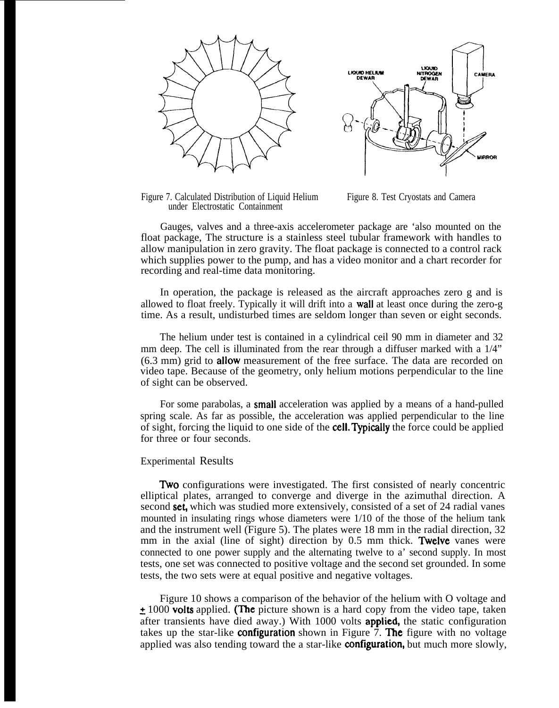



Figure 7. Calculated Distribution of Liquid Helium Figure 8. Test Cryostats and Camera under Electrostatic Containment

Gauges, valves and a three-axis accelerometer package are 'also mounted on the float package, The structure is a stainless steel tubular framework with handles to allow manipulation in zero gravity. The float package is connected to a control rack which supplies power to the pump, and has a video monitor and a chart recorder for recording and real-time data monitoring.

In operation, the package is released as the aircraft approaches zero g and is allowed to float freely. Typically it will drift into a wall at least once during the zero-g time. As a result, undisturbed times are seldom longer than seven or eight seconds.

The helium under test is contained in a cylindrical ceil 90 mm in diameter and 32 mm deep. The cell is illuminated from the rear through a diffuser marked with a 1/4" (6.3 mm) grid to allow measurement of the free surface. The data are recorded on video tape. Because of the geometry, only helium motions perpendicular to the line of sight can be observed.

For some parabolas, a small acceleration was applied by a means of a hand-pulled spring scale. As far as possible, the acceleration was applied perpendicular to the line of sight, forcing the liquid to one side of the **cell. Typically** the force could be applied for three or four seconds.

### Experimental Results

**Two** configurations were investigated. The first consisted of nearly concentric elliptical plates, arranged to converge and diverge in the azimuthal direction. A second **set**, which was studied more extensively, consisted of a set of 24 radial vanes mounted in insulating rings whose diameters were 1/10 of the those of the helium tank and the instrument well (Figure 5). The plates were 18 mm in the radial direction, 32 mm in the axial (line of sight) direction by  $0.5$  mm thick. Twelve vanes were connected to one power supply and the alternating twelve to a' second supply. In most tests, one set was connected to positive voltage and the second set grounded. In some tests, the two sets were at equal positive and negative voltages.

Figure 10 shows a comparison of the behavior of the helium with O voltage and  $\pm$  1000 volts applied. (The picture shown is a hard copy from the video tape, taken after transients have died away.) With  $1000$  volts **applied**, the static configuration takes up the star-like **configuration** shown in Figure 7. **The** figure with no voltage applied was also tending toward the a star-like **configuration**, but much more slowly,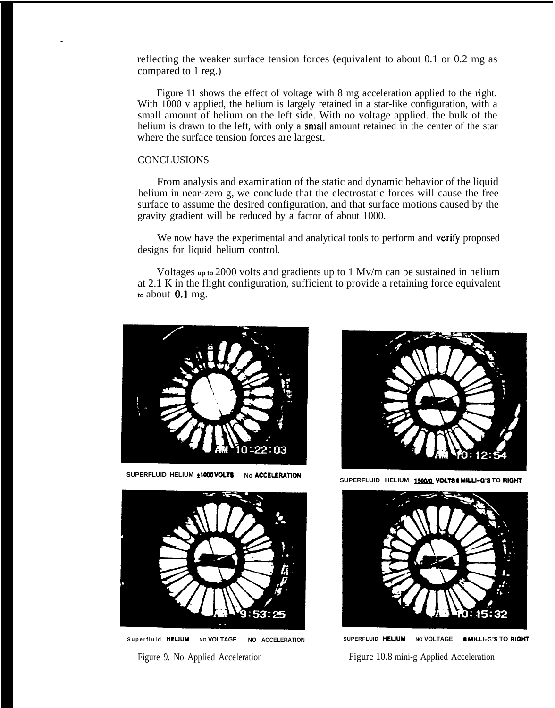reflecting the weaker surface tension forces (equivalent to about 0.1 or 0.2 mg as compared to 1 reg.)

Figure 11 shows the effect of voltage with 8 mg acceleration applied to the right. With 1000 v applied, the helium is largely retained in a star-like configuration, with a small amount of helium on the left side. With no voltage applied. the bulk of the helium is drawn to the left, with only a small amount retained in the center of the star where the surface tension forces are largest.

## **CONCLUSIONS**

.

From analysis and examination of the static and dynamic behavior of the liquid helium in near-zero g, we conclude that the electrostatic forces will cause the free surface to assume the desired configuration, and that surface motions caused by the gravity gradient will be reduced by a factor of about 1000.

We now have the experimental and analytical tools to perform and verify proposed designs for liquid helium control.

Voltages **up to** 2000 volts and gradients up to 1 Mv/m can be sustained in helium at 2.1 K in the flight configuration, sufficient to provide a retaining force equivalent **to** about 0,1 mg.



**SUPERFLUID HELIUM**  $\pm 1000$  **VOLTS** No ACCELERATION



**Superfluid HEUUM NO VOLTAGE NO ACCELERATION** Figure 9. No Applied Acceleration



SUPERFLUID HELIUM 15000 VOLTS & MILLI-G'S TO RIGHT



**SUPERFLUID HEUUM NO VOLTAGE 0 MILLI-C'S TO RICM4T** Figure 10.8 mini-g Applied Acceleration